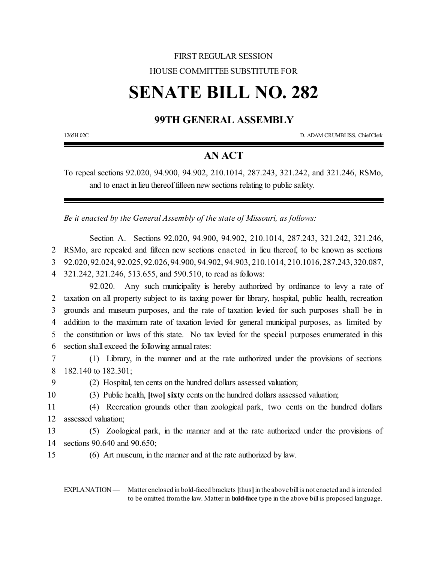## FIRST REGULAR SESSION HOUSE COMMITTEE SUBSTITUTE FOR

# **SENATE BILL NO. 282**

## **99TH GENERAL ASSEMBLY**

1265H.02C D. ADAM CRUMBLISS, ChiefClerk

### **AN ACT**

To repeal sections 92.020, 94.900, 94.902, 210.1014, 287.243, 321.242, and 321.246, RSMo, and to enact in lieu thereof fifteen new sections relating to public safety.

*Be it enacted by the General Assembly of the state of Missouri, as follows:*

Section A. Sections 92.020, 94.900, 94.902, 210.1014, 287.243, 321.242, 321.246, RSMo, are repealed and fifteen new sections enacted in lieu thereof, to be known as sections 92.020, 92.024, 92.025, 92.026, 94.900, 94.902, 94.903, 210.1014, 210.1016, 287.243, 320.087, 321.242, 321.246, 513.655, and 590.510, to read as follows:

92.020. Any such municipality is hereby authorized by ordinance to levy a rate of taxation on all property subject to its taxing power for library, hospital, public health, recreation grounds and museum purposes, and the rate of taxation levied for such purposes shall be in addition to the maximum rate of taxation levied for general municipal purposes, as limited by the constitution or laws of this state. No tax levied for the special purposes enumerated in this section shall exceed the following annual rates:

7 (1) Library, in the manner and at the rate authorized under the provisions of sections 8 182.140 to 182.301;

9 (2) Hospital, ten cents on the hundred dollars assessed valuation;

10 (3) Public health, **[**two**] sixty** cents on the hundred dollars assessed valuation;

11 (4) Recreation grounds other than zoological park, two cents on the hundred dollars 12 assessed valuation;

13 (5) Zoological park, in the manner and at the rate authorized under the provisions of 14 sections 90.640 and 90.650;

15 (6) Art museum, in the manner and at the rate authorized by law.

EXPLANATION — Matter enclosed in bold-faced brackets [thus] in the above bill is not enacted and is intended to be omitted fromthe law. Matter in **bold-face** type in the above bill is proposed language.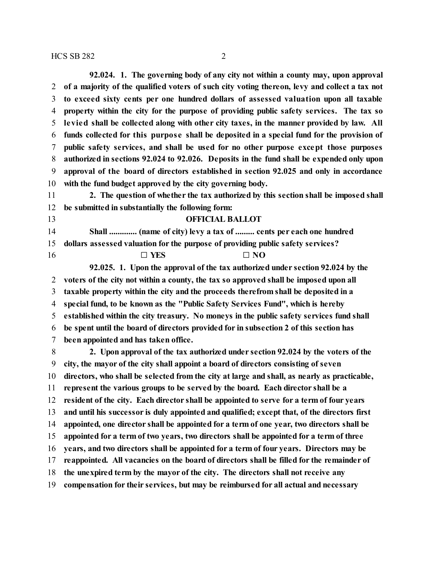**92.024. 1. The governing body of any city not within a county may, upon approval of a majority of the qualified voters of such city voting thereon, levy and collect a tax not to exceed sixty cents per one hundred dollars of assessed valuation upon all taxable property within the city for the purpose of providing public safety services. The tax so levied shall be collected along with other city taxes, in the manner provided by law. All funds collected for this purpose shall be deposited in a special fund for the provision of public safety services, and shall be used for no other purpose except those purposes authorized in sections 92.024 to 92.026. Deposits in the fund shall be expended only upon approval of the board of directors established in section 92.025 and only in accordance with the fund budget approved by the city governing body.**

 **2. The question of whether the tax authorized by this section shall be imposed shall be submitted in substantially the following form:**

- 
- 

 **OFFICIAL BALLOT Shall ............. (name of city) levy a tax of ......... cents per each one hundred**

**dollars assessed valuation for the purpose of providing public safety services?**

16 <del>□ YES</del> □ NO

**92.025. 1. Upon the approval of the tax authorized under section 92.024 by the voters of the city not within a county, the tax so approved shall be imposed upon all taxable property within the city and the proceeds therefrom shall be deposited in a special fund, to be known as the "Public Safety Services Fund", which is hereby established within the city treasury. No moneys in the public safety services fund shall be spent until the board of directors provided for in subsection 2 of this section has been appointed and has taken office.**

 **2. Upon approval of the tax authorized under section 92.024 by the voters of the city, the mayor of the city shall appoint a board of directors consisting of seven directors, who shall be selected from the city at large and shall, as nearly as practicable, represent the various groups to be served by the board. Each director shall be a resident of the city. Each director shall be appointed to serve for a term of four years and until his successor is duly appointed and qualified; except that, of the directors first appointed, one director shall be appointed for a term of one year, two directors shall be appointed for a term of two years, two directors shall be appointed for a term of three years, and two directors shall be appointed for a term of four years. Directors may be reappointed. All vacancies on the board of directors shall be filled for the remainder of the unexpired term by the mayor of the city. The directors shall not receive any compensation for their services, but may be reimbursed for all actual and necessary**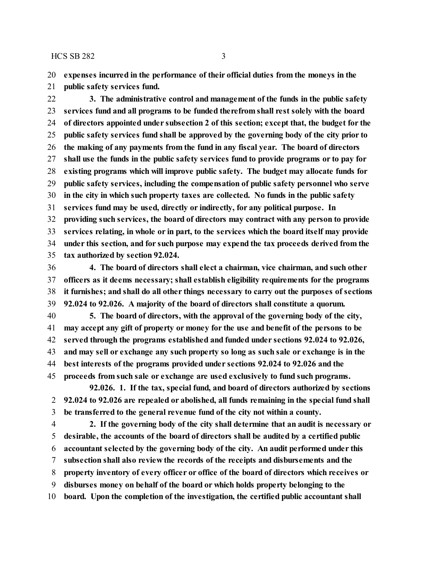**expenses incurred in the performance of their official duties from the moneys in the**

**public safety services fund.**

 **3. The administrative control and management of the funds in the public safety services fund and all programs to be funded therefrom shall rest solely with the board of directors appointed under subsection 2 of this section; except that, the budget for the public safety services fund shall be approved by the governing body of the city prior to the making of any payments from the fund in any fiscal year. The board of directors shall use the funds in the public safety services fund to provide programs or to pay for existing programs which will improve public safety. The budget may allocate funds for public safety services, including the compensation of public safety personnel who serve in the city in which such property taxes are collected. No funds in the public safety services fund may be used, directly or indirectly, for any political purpose. In providing such services, the board of directors may contract with any person to provide services relating, in whole or in part, to the services which the board itself may provide under this section, and for such purpose may expend the tax proceeds derived from the tax authorized by section 92.024.**

 **4. The board of directors shall elect a chairman, vice chairman, and such other officers as it deems necessary; shall establish eligibility requirements for the programs it furnishes; and shall do all other things necessary to carry out the purposes of sections 92.024 to 92.026. A majority of the board of directors shall constitute a quorum.**

 **5. The board of directors, with the approval of the governing body of the city, may accept any gift of property or money for the use and benefit of the persons to be served through the programs established and funded under sections 92.024 to 92.026, and may sell or exchange any such property so long as such sale or exchange is in the best interests of the programs provided under sections 92.024 to 92.026 and the proceeds from such sale or exchange are used exclusively to fund such programs.**

**92.026. 1. If the tax, special fund, and board of directors authorized by sections 92.024 to 92.026 are repealed or abolished, all funds remaining in the special fund shall be transferred to the general revenue fund of the city not within a county.**

 **2. If the governing body of the city shall determine that an audit is necessary or desirable, the accounts of the board of directors shall be audited by a certified public accountant selected by the governing body of the city. An audit performed under this subsection shall also review the records of the receipts and disbursements and the property inventory of every officer or office of the board of directors which receives or disburses money on behalf of the board or which holds property belonging to the board. Upon the completion of the investigation, the certified public accountant shall**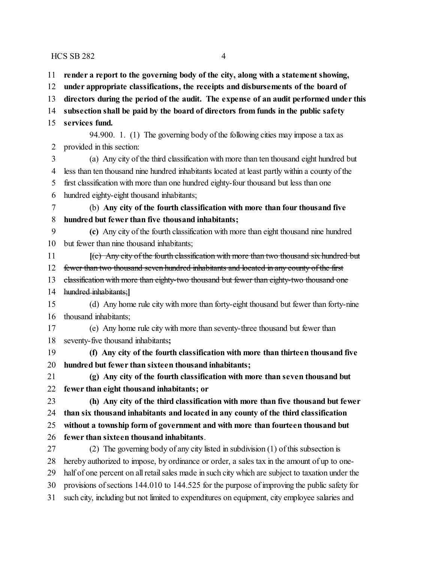**render a report to the governing body of the city, along with a statement showing, under appropriate classifications, the receipts and disbursements of the board of**

**directors during the period of the audit. The expense of an audit performed under this**

 **subsection shall be paid by the board of directors from funds in the public safety services fund.** 94.900. 1. (1) The governing body of the following cities may impose a tax as provided in this section: (a) Any city of the third classification with more than ten thousand eight hundred but less than ten thousand nine hundred inhabitants located at least partly within a county of the first classification with more than one hundred eighty-four thousand but less than one hundred eighty-eight thousand inhabitants; (b) **Any city of the fourth classification with more than four thousand five hundred but fewer than five thousand inhabitants; (c)** Any city of the fourth classification with more than eight thousand nine hundred but fewer than nine thousand inhabitants; **[**(c) Any city of the fourth classification with more than two thousand six hundred but 12 fewer than two thousand seven hundred inhabitants and located in any county of the first 13 classification with more than eighty-two thousand but fewer than eighty-two thousand one hundred inhabitants;**]** (d) Any home rule city with more than forty-eight thousand but fewer than forty-nine thousand inhabitants; (e) Any home rule city with more than seventy-three thousand but fewer than seventy-five thousand inhabitants**; (f) Any city of the fourth classification with more than thirteen thousand five hundred but fewer than sixteen thousand inhabitants; (g) Any city of the fourth classification with more than seven thousand but fewer than eight thousand inhabitants; or (h) Any city of the third classification with more than five thousand but fewer than six thousand inhabitants and located in any county of the third classification without a township form of government and with more than fourteen thousand but**

**fewer than sixteen thousand inhabitants**.

 (2) The governing body of any city listed in subdivision (1) of this subsection is hereby authorized to impose, by ordinance or order, a sales tax in the amount of up to one- half of one percent on allretail sales made in such city which are subject to taxation under the provisions of sections 144.010 to 144.525 for the purpose of improving the public safety for such city, including but not limited to expenditures on equipment, city employee salaries and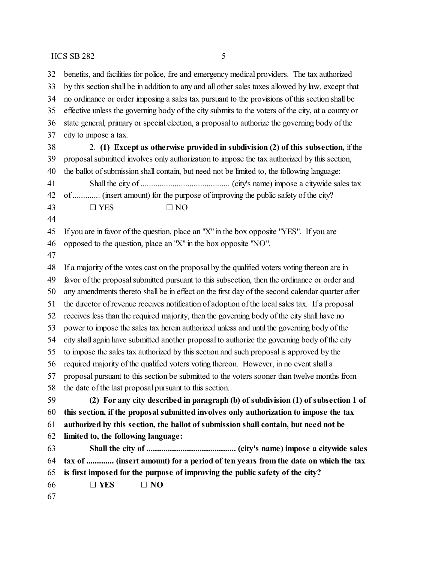| 32 | benefits, and facilities for police, fire and emergency medical providers. The tax authorized     |
|----|---------------------------------------------------------------------------------------------------|
| 33 | by this section shall be in addition to any and all other sales taxes allowed by law, except that |
| 34 | no ordinance or order imposing a sales tax pursuant to the provisions of this section shall be    |
| 35 | effective unless the governing body of the city submits to the voters of the city, at a county or |
| 36 | state general, primary or special election, a proposal to authorize the governing body of the     |
| 37 | city to impose a tax.                                                                             |
| 38 | 2. (1) Except as otherwise provided in subdivision (2) of this subsection, if the                 |
| 39 | proposal submitted involves only authorization to impose the tax authorized by this section,      |
| 40 | the ballot of submission shall contain, but need not be limited to, the following language:       |
| 41 |                                                                                                   |
| 42 | of  (insert amount) for the purpose of improving the public safety of the city?                   |
| 43 | $\square$ NO<br>$\square$ YES                                                                     |
| 44 |                                                                                                   |
| 45 | If you are in favor of the question, place an "X" in the box opposite "YES". If you are           |
| 46 | opposed to the question, place an "X" in the box opposite "NO".                                   |
| 47 |                                                                                                   |
| 48 | If a majority of the votes cast on the proposal by the qualified voters voting thereon are in     |
| 49 | favor of the proposal submitted pursuant to this subsection, then the ordinance or order and      |
| 50 | any amendments thereto shall be in effect on the first day of the second calendar quarter after   |
| 51 | the director of revenue receives notification of adoption of the local sales tax. If a proposal   |
| 52 | receives less than the required majority, then the governing body of the city shall have no       |
| 53 | power to impose the sales tax herein authorized unless and until the governing body of the        |
| 54 | city shall again have submitted another proposal to authorize the governing body of the city      |
| 55 | to impose the sales tax authorized by this section and such proposal is approved by the           |
| 56 | required majority of the qualified voters voting thereon. However, in no event shall a            |
| 57 | proposal pursuant to this section be submitted to the voters sooner than twelve months from       |
| 58 | the date of the last proposal pursuant to this section.                                           |
| 59 | (2) For any city described in paragraph (b) of subdivision (1) of subsection 1 of                 |
| 60 | this section, if the proposal submitted involves only authorization to impose the tax             |
| 61 | authorized by this section, the ballot of submission shall contain, but need not be               |
| 62 | limited to, the following language:                                                               |
| 63 |                                                                                                   |
| 64 | tax of  (insert amount) for a period of ten years from the date on which the tax                  |
| 65 | is first imposed for the purpose of improving the public safety of the city?                      |
| 66 | $\square$ NO<br>$\Box$ YES                                                                        |
| 67 |                                                                                                   |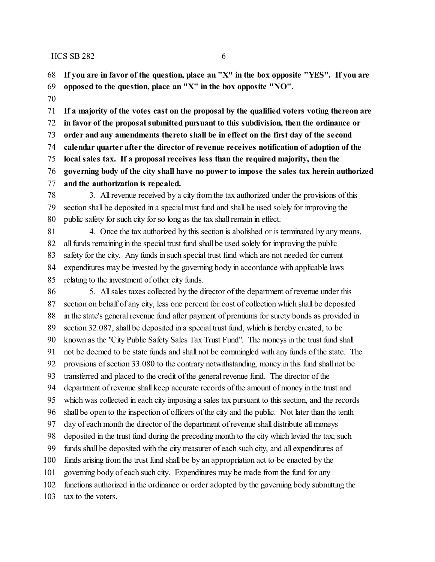**If you are in favor of the question, place an "X" in the box opposite "YES". If you are**

- **opposed to the question, place an "X" in the box opposite "NO".**
- 

 **If a majority of the votes cast on the proposal by the qualified voters voting thereon are in favor of the proposal submitted pursuant to this subdivision, then the ordinance or order and any amendments thereto shall be in effect on the first day of the second calendar quarter after the director of revenue receives notification of adoption of the local sales tax. If a proposal receives less than the required majority, then the governing body of the city shall have no power to impose the sales tax herein authorized and the authorization is repealed.** 3. All revenue received by a city from the tax authorized under the provisions of this section shall be deposited in a special trust fund and shall be used solely for improving the public safety for such city for so long as the tax shall remain in effect. 4. Once the tax authorized by this section is abolished or is terminated by any means,

 all funds remaining in the special trust fund shall be used solely for improving the public safety for the city. Any funds in such special trust fund which are not needed for current expenditures may be invested by the governing body in accordance with applicable laws

relating to the investment of other city funds.

 5. All sales taxes collected by the director of the department of revenue under this section on behalf of any city, less one percent for cost of collection which shall be deposited in the state's general revenue fund after payment of premiums for surety bonds as provided in section 32.087, shall be deposited in a special trust fund, which is hereby created, to be known as the "City Public Safety Sales Tax Trust Fund". The moneys in the trust fund shall not be deemed to be state funds and shall not be commingled with any funds of the state. The provisions of section 33.080 to the contrary notwithstanding, money in this fund shall not be transferred and placed to the credit of the generalrevenue fund. The director of the 94 department of revenue shall keep accurate records of the amount of money in the trust and which was collected in each city imposing a sales tax pursuant to this section, and the records shall be open to the inspection of officers of the city and the public. Not later than the tenth day of each month the director of the department of revenue shall distribute all moneys deposited in the trust fund during the preceding month to the city which levied the tax; such funds shall be deposited with the city treasurer of each such city, and all expenditures of funds arising from the trust fund shall be by an appropriation act to be enacted by the governing body of each such city. Expenditures may be made from the fund for any functions authorized in the ordinance or order adopted by the governing body submitting the tax to the voters.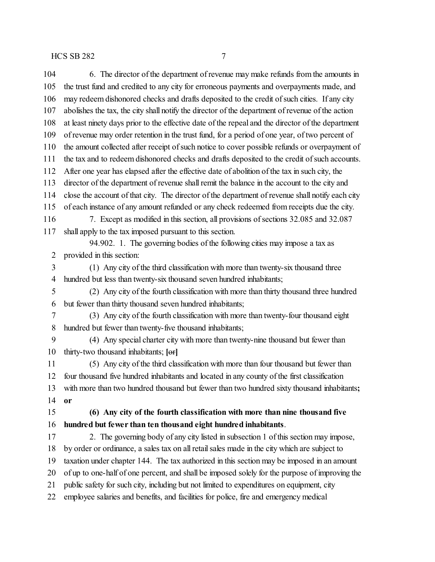6. The director of the department of revenue may make refunds from the amounts in the trust fund and credited to any city for erroneous payments and overpayments made, and may redeem dishonored checks and drafts deposited to the credit ofsuch cities. If any city abolishes the tax, the city shall notify the director of the department of revenue of the action at least ninety days prior to the effective date of the repeal and the director of the department of revenue may order retention in the trust fund, for a period of one year, of two percent of the amount collected after receipt of such notice to cover possible refunds or overpayment of the tax and to redeem dishonored checks and drafts deposited to the credit of such accounts. After one year has elapsed after the effective date of abolition of the tax in such city, the director of the department of revenue shall remit the balance in the account to the city and close the account of that city. The director of the department of revenue shall notify each city of each instance of any amount refunded or any check redeemed from receipts due the city. 7. Except as modified in this section, all provisions of sections 32.085 and 32.087 shall apply to the tax imposed pursuant to this section. 94.902. 1. The governing bodies of the following cities may impose a tax as provided in this section: (1) Any city of the third classification with more than twenty-six thousand three hundred but less than twenty-six thousand seven hundred inhabitants; (2) Any city of the fourth classification with more than thirty thousand three hundred but fewer than thirty thousand seven hundred inhabitants; (3) Any city of the fourth classification with more than twenty-four thousand eight hundred but fewer than twenty-five thousand inhabitants; (4) Any special charter city with more than twenty-nine thousand but fewer than thirty-two thousand inhabitants; **[**or**]** (5) Any city of the third classification with more than four thousand but fewer than four thousand five hundred inhabitants and located in any county ofthe first classification with more than two hundred thousand but fewer than two hundred sixty thousand inhabitants**; or (6) Any city of the fourth classification with more than nine thousand five hundred but fewer than ten thousand eight hundred inhabitants**. 2. The governing body of any city listed in subsection 1 ofthis section may impose, by order or ordinance, a sales tax on all retail sales made in the city which are subject to taxation under chapter 144. The tax authorized in this section may be imposed in an amount of up to one-half of one percent, and shall be imposed solely for the purpose of improving the public safety for such city, including but not limited to expenditures on equipment, city employee salaries and benefits, and facilities for police, fire and emergency medical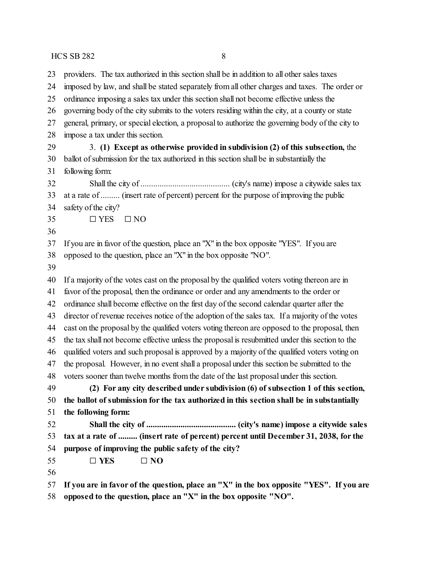providers. The tax authorized in this section shall be in addition to all other sales taxes imposed by law, and shall be stated separately from all other charges and taxes. The order or ordinance imposing a sales tax under this section shall not become effective unless the governing body of the city submits to the voters residing within the city, at a county or state general, primary, or special election, a proposal to authorize the governing body of the city to impose a tax under this section. 3. **(1) Except as otherwise provided in subdivision (2) of this subsection,** the ballot of submission for the tax authorized in this section shall be in substantially the following form: Shall the city of .......................................... (city's name) impose a citywide sales tax at a rate of ......... (insert rate of percent) percent for the purpose ofimproving the public safety of the city?  $\Box$  YES  $\Box$  NO If you are in favor of the question, place an "X" in the box opposite "YES". If you are opposed to the question, place an "X" in the box opposite "NO". If a majority of the votes cast on the proposal by the qualified voters voting thereon are in favor of the proposal, then the ordinance or order and any amendments to the order or ordinance shall become effective on the first day of the second calendar quarter after the director of revenue receives notice of the adoption of the sales tax. If a majority of the votes cast on the proposal by the qualified voters voting thereon are opposed to the proposal, then the tax shall not become effective unless the proposal is resubmitted under this section to the qualified voters and such proposal is approved by a majority of the qualified voters voting on the proposal. However, in no event shall a proposal under this section be submitted to the voters sooner than twelve months from the date of the last proposal under this section. **(2) For any city described under subdivision (6) of subsection 1 of this section, the ballot of submission for the tax authorized in this section shall be in substantially the following form: Shall the city of .......................................... (city's name) impose a citywide sales tax at a rate of ......... (insert rate of percent) percent until December 31, 2038, for the purpose of improving the public safety of the city?**  $\Box$  **YES**  $\Box$  **NO If you are in favor of the question, place an "X" in the box opposite "YES". If you are opposed to the question, place an "X" in the box opposite "NO".**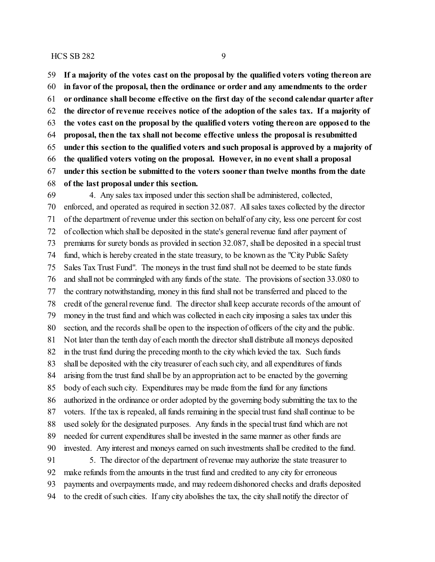**If a majority of the votes cast on the proposal by the qualified voters voting thereon are in favor of the proposal, then the ordinance or order and any amendments to the order or ordinance shall become effective on the first day of the second calendar quarter after the director of revenue receives notice of the adoption of the sales tax. If a majority of the votes cast on the proposal by the qualified voters voting thereon are opposed to the proposal, then the tax shall not become effective unless the proposal is resubmitted under this section to the qualified voters and such proposal is approved by a majority of the qualified voters voting on the proposal. However, in no event shall a proposal under this section be submitted to the voters sooner than twelve months from the date of the last proposal under this section.**

 4. Any sales tax imposed under this section shall be administered, collected, enforced, and operated as required in section 32.087. All sales taxes collected by the director of the department of revenue under this section on behalf of any city, less one percent for cost of collection which shall be deposited in the state's generalrevenue fund after payment of premiums for surety bonds as provided in section 32.087, shall be deposited in a special trust fund, which is hereby created in the state treasury, to be known as the "City Public Safety Sales Tax Trust Fund". The moneys in the trust fund shall not be deemed to be state funds and shall not be commingled with any funds of the state. The provisions of section 33.080 to the contrary notwithstanding, money in this fund shall not be transferred and placed to the credit of the general revenue fund. The director shall keep accurate records of the amount of money in the trust fund and which was collected in each city imposing a sales tax under this section, and the records shall be open to the inspection of officers of the city and the public. Not later than the tenth day of each month the director shall distribute all moneys deposited in the trust fund during the preceding month to the city which levied the tax. Such funds shall be deposited with the city treasurer of each such city, and all expenditures of funds arising from the trust fund shall be by an appropriation act to be enacted by the governing body of each such city. Expenditures may be made from the fund for any functions authorized in the ordinance or order adopted by the governing body submitting the tax to the voters. If the tax is repealed, all funds remaining in the special trust fund shall continue to be used solely for the designated purposes. Any funds in the special trust fund which are not needed for current expenditures shall be invested in the same manner as other funds are invested. Any interest and moneys earned on such investments shall be credited to the fund. 5. The director of the department of revenue may authorize the state treasurer to make refunds from the amounts in the trust fund and credited to any city for erroneous payments and overpayments made, and may redeem dishonored checks and drafts deposited

to the credit of such cities. If any city abolishes the tax, the city shall notify the director of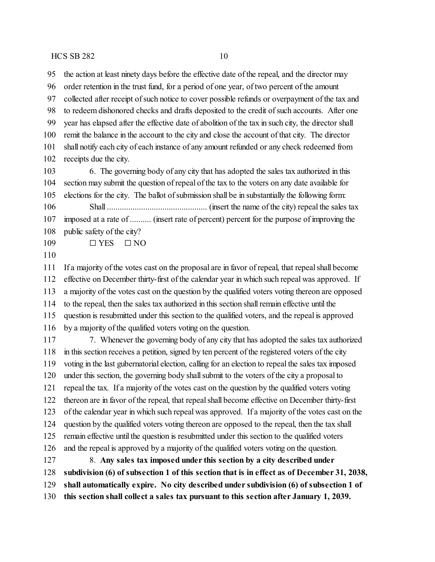the action at least ninety days before the effective date of the repeal, and the director may

order retention in the trust fund, for a period of one year, oftwo percent of the amount

collected after receipt of such notice to cover possible refunds or overpayment of the tax and

 to redeem dishonored checks and drafts deposited to the credit of such accounts. After one year has elapsed after the effective date of abolition of the tax in such city, the director shall

remit the balance in the account to the city and close the account of that city. The director

shall notify each city of each instance of any amount refunded or any check redeemed from

receipts due the city.

 6. The governing body of any city that has adopted the sales tax authorized in this section may submit the question of repeal of the tax to the voters on any date available for elections for the city. The ballot of submission shall be in substantially the following form: Shall ............................................... (insert the name of the city) repeal the sales tax imposed at a rate of .......... (insert rate of percent) percent for the purpose of improving the

public safety of the city?

 $\Box$  YES  $\Box$  NO

 If a majority of the votes cast on the proposal are in favor of repeal, that repeal shall become effective on December thirty-first of the calendar year in which such repeal was approved. If a majority of the votes cast on the question by the qualified voters voting thereon are opposed to the repeal, then the sales tax authorized in this section shall remain effective until the question is resubmitted under this section to the qualified voters, and the repeal is approved

by a majority of the qualified voters voting on the question.

 7. Whenever the governing body of any city that has adopted the sales tax authorized in this section receives a petition, signed by ten percent of the registered voters of the city voting in the last gubernatorial election, calling for an election to repeal the sales tax imposed under this section, the governing body shall submit to the voters of the city a proposal to repeal the tax. If a majority of the votes cast on the question by the qualified voters voting 122 thereon are in favor of the repeal, that repeal shall become effective on December thirty-first of the calendar year in which such repeal was approved. If a majority of the votes cast on the question by the qualified voters voting thereon are opposed to the repeal, then the tax shall remain effective until the question is resubmitted under this section to the qualified voters and the repeal is approved by a majority of the qualified voters voting on the question. 8. **Any sales tax imposed under this section by a city described under**

**subdivision (6) of subsection 1 of this section that is in effect as of December 31, 2038,**

- **shall automatically expire. No city described under subdivision (6) of subsection 1 of**
- **this section shall collect a sales tax pursuant to this section after January 1, 2039.**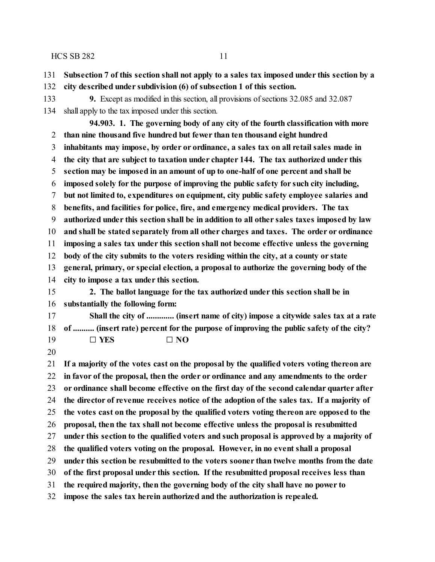|     | 131 Subsection / 01 this section shall not apply to a sales tax imposed under this section by a |
|-----|-------------------------------------------------------------------------------------------------|
|     | 132 city described under subdivision (6) of subsection 1 of this section.                       |
| 133 | <b>9.</b> Except as modified in this section, all provisions of sections 32.085 and 32.087      |
|     | 134 shall apply to the tax imposed under this section.                                          |

**Subsection 7 of this section shall not apply to a sales tax imposed under this section by a**

**94.903. 1. The governing body of any city of the fourth classification with more than nine thousand five hundred but fewer than ten thousand eight hundred inhabitants may impose, by order or ordinance, a sales tax on all retail sales made in the city that are subject to taxation under chapter 144. The tax authorized under this section may be imposed in an amount of up to one-half of one percent and shall be imposed solely for the purpose of improving the public safety for such city including, but not limited to, expenditures on equipment, city public safety employee salaries and benefits, and facilities for police, fire, and emergency medical providers. The tax authorized under this section shall be in addition to all other sales taxes imposed by law and shall be stated separately from all other charges and taxes. The order or ordinance imposing a sales tax under this section shall not become effective unless the governing body of the city submits to the voters residing within the city, at a county or state general, primary, or special election, a proposal to authorize the governing body of the city to impose a tax under this section. 2. The ballot language for the tax authorized under this section shall be in substantially the following form: Shall the city of ............. (insert name of city) impose a citywide sales tax at a rate of .......... (insert rate) percent for the purpose of improving the public safety of the city?**  $\Box$  **YES**  $\Box$  **NO** 

 **If a majority of the votes cast on the proposal by the qualified voters voting thereon are in favor of the proposal, then the order or ordinance and any amendments to the order or ordinance shall become effective on the first day of the second calendar quarter after the director of revenue receives notice of the adoption of the sales tax. If a majority of the votes cast on the proposal by the qualified voters voting thereon are opposed to the proposal, then the tax shall not become effective unless the proposal is resubmitted under this section to the qualified voters and such proposal is approved by a majority of the qualified voters voting on the proposal. However, in no event shall a proposal under this section be resubmitted to the voters sooner than twelve months from the date of the first proposal under this section. If the resubmitted proposal receives less than the required majority, then the governing body of the city shall have no power to impose the sales tax herein authorized and the authorization is repealed.**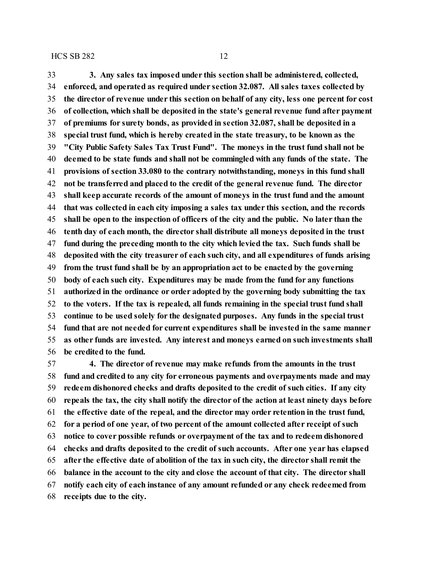**3. Any sales tax imposed under this section shall be administered, collected, enforced, and operated as required under section 32.087. All sales taxes collected by the director of revenue under this section on behalf of any city, less one percent for cost of collection, which shall be deposited in the state's general revenue fund after payment of premiums for surety bonds, as provided in section 32.087, shall be deposited in a special trust fund, which is hereby created in the state treasury, to be known as the "City Public Safety Sales Tax Trust Fund". The moneys in the trust fund shall not be deemed to be state funds and shall not be commingled with any funds of the state. The provisions of section 33.080 to the contrary notwithstanding, moneys in this fund shall not be transferred and placed to the credit of the general revenue fund. The director shall keep accurate records of the amount of moneys in the trust fund and the amount that was collected in each city imposing a sales tax under this section, and the records shall be open to the inspection of officers of the city and the public. No later than the tenth day of each month, the director shall distribute all moneys deposited in the trust fund during the preceding month to the city which levied the tax. Such funds shall be deposited with the city treasurer of each such city, and all expenditures of funds arising from the trust fund shall be by an appropriation act to be enacted by the governing body of each such city. Expenditures may be made from the fund for any functions authorized in the ordinance or order adopted by the governing body submitting the tax to the voters. If the tax is repealed, all funds remaining in the special trust fund shall continue to be used solely for the designated purposes. Any funds in the special trust fund that are not needed for current expenditures shall be invested in the same manner as other funds are invested. Any interest and moneys earned on such investments shall be credited to the fund.**

 **4. The director of revenue may make refunds from the amounts in the trust fund and credited to any city for erroneous payments and overpayments made and may redeem dishonored checks and drafts deposited to the credit of such cities. If any city repeals the tax, the city shall notify the director of the action at least ninety days before the effective date of the repeal, and the director may order retention in the trust fund, for a period of one year, of two percent of the amount collected after receipt of such notice to cover possible refunds or overpayment of the tax and to redeem dishonored checks and drafts deposited to the credit of such accounts. After one year has elapsed after the effective date of abolition of the tax in such city, the director shall remit the balance in the account to the city and close the account of that city. The director shall notify each city of each instance of any amount refunded or any check redeemed from receipts due to the city.**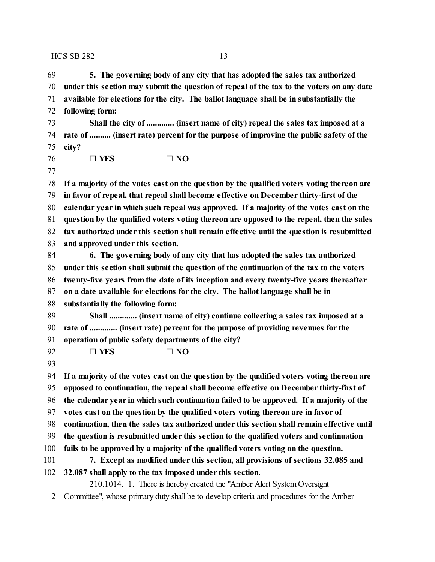**under this section may submit the question of repeal of the tax to the voters on any date available for elections for the city. The ballot language shall be in substantially the following form: Shall the city of ............. (insert name of city) repeal the sales tax imposed at a rate of .......... (insert rate) percent for the purpose of improving the public safety of the city?**  $\Box$  **YES**  $\Box$  **NO If a majority of the votes cast on the question by the qualified voters voting thereon are in favor of repeal, that repeal shall become effective on December thirty-first of the calendar year in which such repeal was approved. If a majority of the votes cast on the question by the qualified voters voting thereon are opposed to the repeal, then the sales tax authorized under this section shall remain effective until the question is resubmitted and approved under this section. 6. The governing body of any city that has adopted the sales tax authorized under this section shall submit the question of the continuation of the tax to the voters twenty-five years from the date of its inception and every twenty-five years thereafter on a date available for elections for the city. The ballot language shall be in substantially the following form: Shall ............. (insert name of city) continue collecting a sales tax imposed at a rate of ............. (insert rate) percent for the purpose of providing revenues for the operation of public safety departments of the city?**  $\square$  **YES**  $\square$  **NO If a majority of the votes cast on the question by the qualified voters voting thereon are opposed to continuation, the repeal shall become effective on December thirty-first of the calendar year in which such continuation failed to be approved. If a majority of the votes cast on the question by the qualified voters voting thereon are in favor of continuation, then the sales tax authorized under this section shall remain effective until the question is resubmitted under this section to the qualified voters and continuation**

- **fails to be approved by a majority of the qualified voters voting on the question.**
- **7. Except as modified under this section, all provisions of sections 32.085 and 32.087 shall apply to the tax imposed under this section.**

210.1014. 1. There is hereby created the "Amber Alert System Oversight Committee", whose primary duty shall be to develop criteria and procedures for the Amber

**5. The governing body of any city that has adopted the sales tax authorized**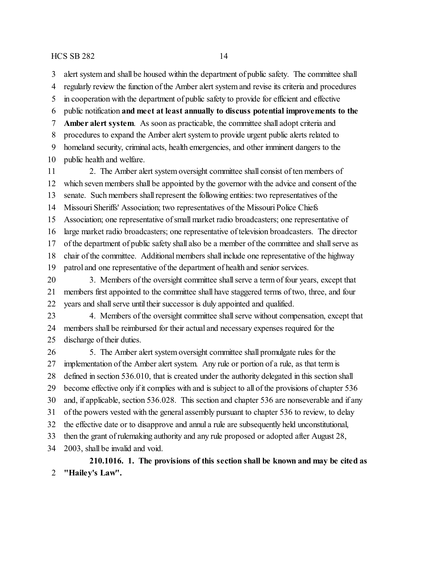alert system and shall be housed within the department of public safety. The committee shall regularly review the function ofthe Amber alert system and revise its criteria and procedures in cooperation with the department of public safety to provide for efficient and effective public notification **and meet at least annually to discuss potential improvements to the Amber alert system**. As soon as practicable, the committee shall adopt criteria and procedures to expand the Amber alert systemto provide urgent public alerts related to homeland security, criminal acts, health emergencies, and other imminent dangers to the public health and welfare. 2. The Amber alert system oversight committee shall consist of ten members of which seven members shall be appointed by the governor with the advice and consent of the senate. Such members shall represent the following entities: two representatives of the Missouri Sheriffs' Association; two representatives of the Missouri Police Chiefs Association; one representative of small market radio broadcasters; one representative of 16 large market radio broadcasters; one representative of television broadcasters. The director of the department of public safety shall also be a member of the committee and shall serve as chair of the committee. Additional members shall include one representative of the highway patrol and one representative of the department of health and senior services. 3. Members of the oversight committee shall serve a termof four years, except that members first appointed to the committee shall have staggered terms of two, three, and four years and shall serve until their successor is duly appointed and qualified. 4. Members of the oversight committee shall serve without compensation, except that members shall be reimbursed for their actual and necessary expenses required for the discharge of their duties. 5. The Amber alert system oversight committee shall promulgate rules for the implementation of the Amber alert system. Any rule or portion of a rule, as that term is defined in section 536.010, that is created under the authority delegated in this section shall become effective only ifit complies with and is subject to all of the provisions of chapter 536 and, if applicable, section 536.028. This section and chapter 536 are nonseverable and if any of the powers vested with the general assembly pursuant to chapter 536 to review, to delay the effective date or to disapprove and annul a rule are subsequently held unconstitutional, then the grant of rulemaking authority and any rule proposed or adopted after August 28, 2003, shall be invalid and void.

**210.1016. 1. The provisions of this section shall be known and may be cited as "Hailey's Law".**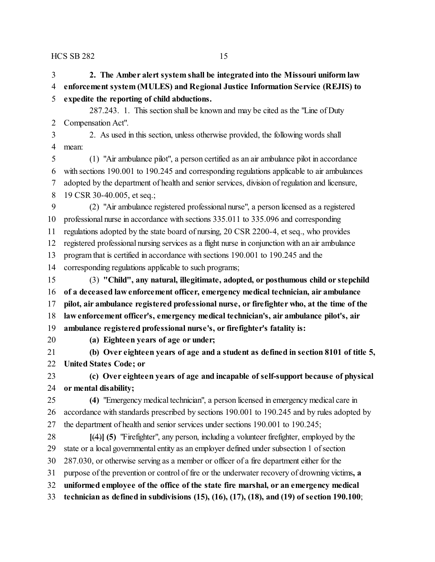**2. The Amber alert system shall be integrated into the Missouri uniform law enforcement system (MULES) and Regional Justice Information Service (REJIS) to expedite the reporting of child abductions.** 287.243. 1. This section shall be known and may be cited as the "Line of Duty Compensation Act". 2. As used in this section, unless otherwise provided, the following words shall mean: (1) "Air ambulance pilot", a person certified as an air ambulance pilot in accordance with sections 190.001 to 190.245 and corresponding regulations applicable to air ambulances adopted by the department of health and senior services, division of regulation and licensure, 8 19 CSR 30-40.005, et seq.; (2) "Air ambulance registered professional nurse", a person licensed as a registered professional nurse in accordance with sections 335.011 to 335.096 and corresponding regulations adopted by the state board of nursing, 20 CSR 2200-4, et seq., who provides registered professional nursing services as a flight nurse in conjunction with an air ambulance program that is certified in accordance with sections 190.001 to 190.245 and the corresponding regulations applicable to such programs; (3) **"Child", any natural, illegitimate, adopted, or posthumous child or stepchild of a deceased law enforcement officer, emergency medical technician, air ambulance pilot, air ambulance registered professional nurse, or firefighter who, at the time of the law enforcement officer's, emergency medical technician's, air ambulance pilot's, air ambulance registered professional nurse's, or firefighter's fatality is: (a) Eighteen years of age or under; (b) Over eighteen years of age and a student as defined in section 8101 of title 5, United States Code; or (c) Over eighteen years of age and incapable of self-support because of physical or mental disability; (4)** "Emergency medical technician", a person licensed in emergency medical care in accordance with standards prescribed by sections 190.001 to 190.245 and by rules adopted by the department of health and senior services under sections 190.001 to 190.245; **[**(4)**] (5)** "Firefighter", any person, including a volunteer firefighter, employed by the state or a local governmental entity as an employer defined under subsection 1 of section 287.030, or otherwise serving as a member or officer of a fire department either for the purpose of the prevention or control of fire or the underwater recovery of drowning victims**, a uniformed employee of the office of the state fire marshal, or an emergency medical technician as defined in subdivisions (15), (16), (17), (18), and (19) of section 190.100**;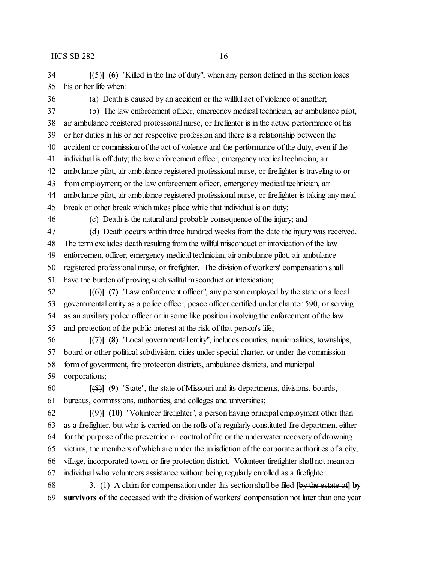**[**(5)**] (6)** "Killed in the line of duty", when any person defined in this section loses his or her life when:

(a) Death is caused by an accident or the willful act of violence of another;

- (b) The law enforcement officer, emergency medical technician, air ambulance pilot, air ambulance registered professional nurse, or firefighter is in the active performance of his or her duties in his or her respective profession and there is a relationship between the accident or commission ofthe act of violence and the performance of the duty, even if the individual is off duty; the law enforcement officer, emergency medical technician, air
- ambulance pilot, air ambulance registered professional nurse, or firefighter is traveling to or
- from employment; or the law enforcement officer, emergency medical technician, air
- ambulance pilot, air ambulance registered professional nurse, or firefighter is taking any meal break or other break which takes place while that individual is on duty;
- 

(c) Death is the natural and probable consequence of the injury; and

(d) Death occurs within three hundred weeks from the date the injury was received.

The term excludes death resulting from the willful misconduct or intoxication of the law

enforcement officer, emergency medical technician, air ambulance pilot, air ambulance

registered professional nurse, or firefighter. The division of workers' compensation shall

have the burden of proving such willful misconduct or intoxication;

- **[**(6)**] (7)** "Law enforcement officer", any person employed by the state or a local governmental entity as a police officer, peace officer certified under chapter 590, or serving as an auxiliary police officer or in some like position involving the enforcement of the law and protection of the public interest at the risk of that person's life;
- **[**(7)**] (8)** "Local governmental entity", includes counties, municipalities, townships, board or other political subdivision, cities under special charter, or under the commission form of government, fire protection districts, ambulance districts, and municipal corporations;
- **[**(8)**] (9)** "State", the state of Missouri and its departments, divisions, boards, bureaus, commissions, authorities, and colleges and universities;
- **[**(9)**] (10)** "Volunteer firefighter", a person having principal employment other than as a firefighter, but who is carried on the rolls of a regularly constituted fire department either for the purpose of the prevention or control of fire or the underwater recovery of drowning victims, the members of which are under the jurisdiction of the corporate authorities of a city, village, incorporated town, or fire protection district. Volunteer firefighter shall not mean an individual who volunteers assistance without being regularly enrolled as a firefighter.
- 3. (1) A claim for compensation under this section shall be filed **[**by the estate of**] by survivors of** the deceased with the division of workers' compensation not later than one year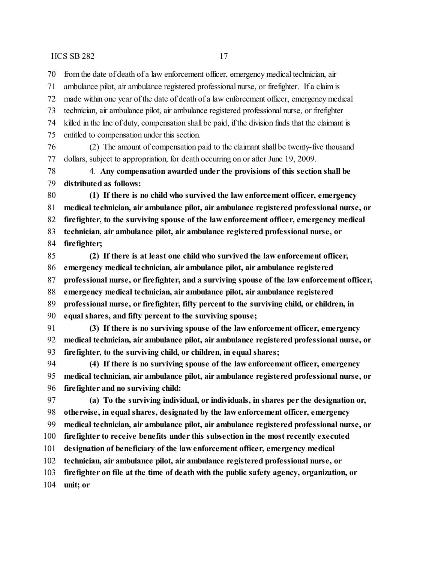from the date of death of a law enforcement officer, emergency medical technician, air

ambulance pilot, air ambulance registered professional nurse, or firefighter. If a claim is

- made within one year of the date of death of a law enforcement officer, emergency medical
- technician, air ambulance pilot, air ambulance registered professional nurse, or firefighter

killed in the line of duty, compensation shall be paid, if the division finds that the claimant is

entitled to compensation under this section.

 (2) The amount of compensation paid to the claimant shall be twenty-five thousand dollars, subject to appropriation, for death occurring on or after June 19, 2009.

 4. **Any compensation awarded under the provisions of this section shall be distributed as follows:**

 **(1) If there is no child who survived the law enforcement officer, emergency medical technician, air ambulance pilot, air ambulance registered professional nurse, or firefighter, to the surviving spouse of the law enforcement officer, emergency medical technician, air ambulance pilot, air ambulance registered professional nurse, or firefighter;**

 **(2) If there is at least one child who survived the law enforcement officer, emergency medical technician, air ambulance pilot, air ambulance registered professional nurse, or firefighter, and a surviving spouse of the law enforcement officer, emergency medical technician, air ambulance pilot, air ambulance registered professional nurse, or firefighter, fifty percent to the surviving child, or children, in equal shares, and fifty percent to the surviving spouse;**

 **(3) If there is no surviving spouse of the law enforcement officer, emergency medical technician, air ambulance pilot, air ambulance registered professional nurse, or firefighter, to the surviving child, or children, in equal shares;**

 **(4) If there is no surviving spouse of the law enforcement officer, emergency medical technician, air ambulance pilot, air ambulance registered professional nurse, or firefighter and no surviving child:**

 **(a) To the surviving individual, or individuals, in shares per the designation or, otherwise, in equal shares, designated by the law enforcement officer, emergency medical technician, air ambulance pilot, air ambulance registered professional nurse, or**

**firefighter to receive benefits under this subsection in the most recently executed**

**designation of beneficiary of the law enforcement officer, emergency medical**

**technician, air ambulance pilot, air ambulance registered professional nurse, or**

**firefighter on file at the time of death with the public safety agency, organization, or**

**unit; or**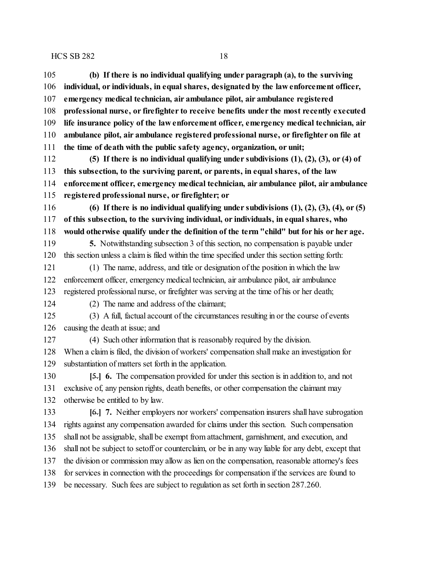**(b) If there is no individual qualifying under paragraph (a), to the surviving individual, or individuals, in equal shares, designated by the law enforcement officer, emergency medical technician, air ambulance pilot, air ambulance registered professional nurse, or firefighter to receive benefits under the most recently executed life insurance policy of the law enforcement officer, emergency medical technician, air ambulance pilot, air ambulance registered professional nurse, or firefighter on file at the time of death with the public safety agency, organization, or unit; (5) If there is no individual qualifying under subdivisions (1), (2), (3), or (4) of this subsection, to the surviving parent, or parents, in equal shares, of the law enforcement officer, emergency medical technician, air ambulance pilot, air ambulance registered professional nurse, or firefighter; or (6) If there is no individual qualifying under subdivisions (1), (2), (3), (4), or (5) of this subsection, to the surviving individual, or individuals, in equal shares, who would otherwise qualify under the definition of the term "child" but for his or her age. 5.** Notwithstanding subsection 3 of this section, no compensation is payable under this section unless a claim is filed within the time specified under this section setting forth: (1) The name, address, and title or designation of the position in which the law enforcement officer, emergency medical technician, air ambulance pilot, air ambulance registered professional nurse, or firefighter was serving at the time of his or her death; (2) The name and address of the claimant; (3) A full, factual account of the circumstances resulting in or the course of events causing the death at issue; and (4) Such other information that is reasonably required by the division. When a claim is filed, the division of workers' compensation shall make an investigation for substantiation of matters set forth in the application. **[**5.**] 6.** The compensation provided for under this section is in addition to, and not exclusive of, any pension rights, death benefits, or other compensation the claimant may otherwise be entitled to by law. **[**6.**] 7.** Neither employers nor workers' compensation insurers shall have subrogation rights against any compensation awarded for claims under this section. Such compensation shall not be assignable, shall be exempt from attachment, garnishment, and execution, and shall not be subject to setoff or counterclaim, or be in any way liable for any debt, except that the division or commission may allow as lien on the compensation, reasonable attorney's fees for services in connection with the proceedings for compensation if the services are found to be necessary. Such fees are subject to regulation as set forth in section 287.260.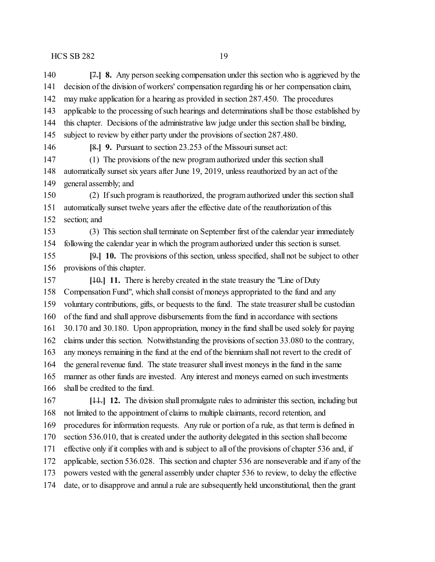**[**7.**] 8.** Any person seeking compensation under this section who is aggrieved by the decision of the division of workers' compensation regarding his or her compensation claim, may make application for a hearing as provided in section 287.450. The procedures applicable to the processing ofsuch hearings and determinations shall be those established by this chapter. Decisions of the administrative law judge under this section shall be binding, subject to review by either party under the provisions of section 287.480. **[**8.**] 9.** Pursuant to section 23.253 of the Missouri sunset act: (1) The provisions of the new program authorized under this section shall automatically sunset six years after June 19, 2019, unless reauthorized by an act ofthe general assembly; and (2) If such program is reauthorized, the program authorized under this section shall automatically sunset twelve years after the effective date of the reauthorization of this section; and (3) This section shall terminate on September first of the calendar year immediately following the calendar year in which the program authorized under this section is sunset. **[**9.**] 10.** The provisions of this section, unless specified, shall not be subject to other provisions of this chapter. **[**10.**] 11.** There is hereby created in the state treasury the "Line of Duty Compensation Fund", which shall consist of moneys appropriated to the fund and any voluntary contributions, gifts, or bequests to the fund. The state treasurer shall be custodian of the fund and shall approve disbursements from the fund in accordance with sections 30.170 and 30.180. Upon appropriation, money in the fund shall be used solely for paying claims under this section. Notwithstanding the provisions of section 33.080 to the contrary, any moneys remaining in the fund at the end of the biennium shall not revert to the credit of the general revenue fund. The state treasurer shall invest moneys in the fund in the same manner as other funds are invested. Any interest and moneys earned on such investments shall be credited to the fund. **[**11.**] 12.** The division shall promulgate rules to administer this section, including but not limited to the appointment of claims to multiple claimants, record retention, and procedures for information requests. Any rule or portion of a rule, as that term is defined in section 536.010, that is created under the authority delegated in this section shall become effective only if it complies with and is subject to all of the provisions of chapter 536 and, if applicable, section 536.028. This section and chapter 536 are nonseverable and if any of the

powers vested with the general assembly under chapter 536 to review, to delay the effective

date, or to disapprove and annul a rule are subsequently held unconstitutional, then the grant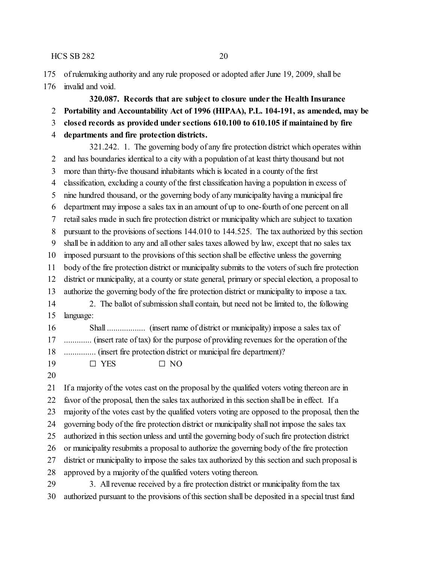of rulemaking authority and any rule proposed or adopted after June 19, 2009, shall be

invalid and void.

#### **320.087. Records that are subject to closure under the Health Insurance**

- **Portability and Accountability Act of 1996 (HIPAA), P.L. 104-191, as amended, may be**
- **closed records as provided under sections 610.100 to 610.105 if maintained by fire**
- **departments and fire protection districts.**

321.242. 1. The governing body of any fire protection district which operates within and has boundaries identical to a city with a population of at least thirty thousand but not more than thirty-five thousand inhabitants which is located in a county of the first classification, excluding a county of the first classification having a population in excess of nine hundred thousand, or the governing body of any municipality having a municipal fire department may impose a sales tax in an amount of up to one-fourth of one percent on all retail sales made in such fire protection district or municipality which are subject to taxation pursuant to the provisions of sections 144.010 to 144.525. The tax authorized by this section shall be in addition to any and all other sales taxes allowed by law, except that no sales tax imposed pursuant to the provisions of this section shall be effective unless the governing body of the fire protection district or municipality submits to the voters of such fire protection district or municipality, at a county or state general, primary or special election, a proposal to authorize the governing body ofthe fire protection district or municipality to impose a tax. 2. The ballot of submission shall contain, but need not be limited to, the following language: Shall .................. (insert name of district or municipality) impose a sales tax of ............. (insert rate of tax) for the purpose of providing revenues for the operation of the ............... (insert fire protection district or municipal fire department)?  $\Box$  YES  $\Box$  NO If a majority of the votes cast on the proposal by the qualified voters voting thereon are in favor of the proposal, then the sales tax authorized in this section shall be in effect. If a majority of the votes cast by the qualified voters voting are opposed to the proposal, then the

governing body of the fire protection district or municipality shall not impose the sales tax

- authorized in this section unless and until the governing body of such fire protection district
- or municipality resubmits a proposal to authorize the governing body of the fire protection
- district or municipality to impose the sales tax authorized by this section and such proposal is

approved by a majority of the qualified voters voting thereon.

 3. All revenue received by a fire protection district or municipality fromthe tax authorized pursuant to the provisions of this section shall be deposited in a special trust fund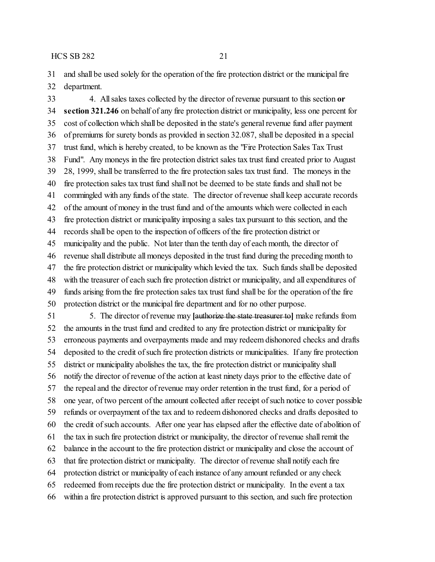and shall be used solely for the operation of the fire protection district or the municipal fire department.

 4. All sales taxes collected by the director of revenue pursuant to this section **or section 321.246** on behalf of any fire protection district or municipality, less one percent for cost of collection which shall be deposited in the state's general revenue fund after payment of premiums for surety bonds as provided in section 32.087, shall be deposited in a special trust fund, which is hereby created, to be known as the "Fire Protection Sales Tax Trust Fund". Any moneys in the fire protection district sales tax trust fund created prior to August 28, 1999, shall be transferred to the fire protection sales tax trust fund. The moneys in the fire protection sales tax trust fund shall not be deemed to be state funds and shall not be commingled with any funds of the state. The director of revenue shall keep accurate records of the amount of money in the trust fund and of the amounts which were collected in each fire protection district or municipality imposing a sales tax pursuant to this section, and the records shall be open to the inspection of officers ofthe fire protection district or municipality and the public. Not later than the tenth day of each month, the director of revenue shall distribute all moneys deposited in the trust fund during the preceding month to the fire protection district or municipality which levied the tax. Such funds shall be deposited with the treasurer of each such fire protection district or municipality, and all expenditures of funds arising from the fire protection sales tax trust fund shall be for the operation ofthe fire protection district or the municipal fire department and for no other purpose. 5. The director of revenue may **[**authorize the state treasurer to**]** make refunds from the amounts in the trust fund and credited to any fire protection district or municipality for erroneous payments and overpayments made and may redeem dishonored checks and drafts deposited to the credit of such fire protection districts or municipalities. If any fire protection district or municipality abolishes the tax, the fire protection district or municipality shall 56 notify the director of revenue of the action at least ninety days prior to the effective date of the repeal and the director ofrevenue may order retention in the trust fund, for a period of 58 one year, of two percent of the amount collected after receipt of such notice to cover possible refunds or overpayment of the tax and to redeem dishonored checks and drafts deposited to the credit of such accounts. After one year has elapsed after the effective date of abolition of the tax in such fire protection district or municipality, the director of revenue shall remit the balance in the account to the fire protection district or municipality and close the account of that fire protection district or municipality. The director of revenue shall notify each fire protection district or municipality of each instance of any amount refunded or any check redeemed from receipts due the fire protection district or municipality. In the event a tax within a fire protection district is approved pursuant to this section, and such fire protection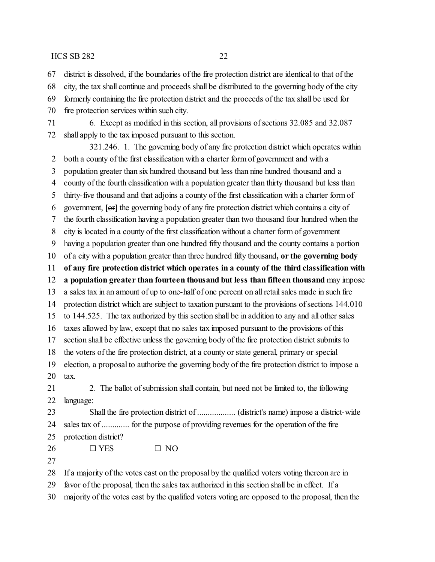district is dissolved, if the boundaries of the fire protection district are identical to that ofthe

- city, the tax shall continue and proceeds shall be distributed to the governing body ofthe city
- formerly containing the fire protection district and the proceeds of the tax shall be used for
- fire protection services within such city.
- 6. Except as modified in this section, all provisions of sections 32.085 and 32.087 shall apply to the tax imposed pursuant to this section.

321.246. 1. The governing body of any fire protection district which operates within both a county of the first classification with a charter form of government and with a population greater than six hundred thousand but less than nine hundred thousand and a county of the fourth classification with a population greater than thirty thousand but less than thirty-five thousand and that adjoins a county of the first classification with a charter form of government, **[**or**]** the governing body of any fire protection district which contains a city of the fourth classification having a population greater than two thousand four hundred when the city is located in a county of the first classification without a charter form of government having a population greater than one hundred fifty thousand and the county contains a portion of a city with a population greater than three hundred fifty thousand**, or the governing body of any fire protection district which operates in a county of the third classification with a population greater than fourteen thousand but less than fifteen thousand** may impose a sales tax in an amount of up to one-half of one percent on all retailsales made in such fire protection district which are subject to taxation pursuant to the provisions of sections 144.010 to 144.525. The tax authorized by this section shall be in addition to any and all other sales taxes allowed by law, except that no sales tax imposed pursuant to the provisions of this section shall be effective unless the governing body ofthe fire protection district submits to the voters of the fire protection district, at a county or state general, primary or special election, a proposal to authorize the governing body of the fire protection district to impose a tax. 2. The ballot of submission shall contain, but need not be limited to, the following language: Shall the fire protection district of .................. (district's name) impose a district-wide sales tax of ............. for the purpose of providing revenues for the operation of the fire protection district?  $\Box$  YES  $\Box$  NO If a majority of the votes cast on the proposal by the qualified voters voting thereon are in favor of the proposal, then the sales tax authorized in this section shall be in effect. If a majority of the votes cast by the qualified voters voting are opposed to the proposal, then the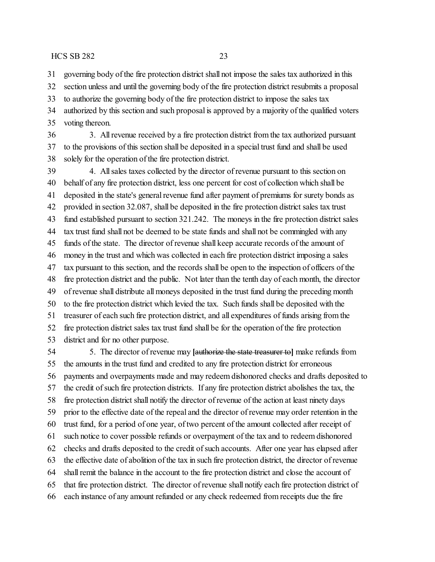governing body of the fire protection district shall not impose the sales tax authorized in this

section unless and until the governing body of the fire protection district resubmits a proposal

to authorize the governing body of the fire protection district to impose the sales tax

- authorized by this section and such proposal is approved by a majority of the qualified voters
- voting thereon.

 3. All revenue received by a fire protection district from the tax authorized pursuant to the provisions of this section shall be deposited in a special trust fund and shall be used solely for the operation of the fire protection district.

 4. All sales taxes collected by the director of revenue pursuant to this section on behalf of any fire protection district, less one percent for cost of collection which shall be 41 deposited in the state's general revenue fund after payment of premiums for surety bonds as provided in section 32.087, shall be deposited in the fire protection district sales tax trust fund established pursuant to section 321.242. The moneys in the fire protection district sales tax trust fund shall not be deemed to be state funds and shall not be commingled with any funds of the state. The director of revenue shall keep accurate records of the amount of money in the trust and which was collected in each fire protection district imposing a sales tax pursuant to this section, and the records shall be open to the inspection of officers of the fire protection district and the public. Not later than the tenth day of each month, the director of revenue shall distribute all moneys deposited in the trust fund during the preceding month to the fire protection district which levied the tax. Such funds shall be deposited with the treasurer of each such fire protection district, and all expenditures of funds arising from the fire protection district sales tax trust fund shall be for the operation of the fire protection district and for no other purpose.

 5. The director of revenue may **[**authorize the state treasurer to**]** make refunds from the amounts in the trust fund and credited to any fire protection district for erroneous payments and overpayments made and may redeem dishonored checks and drafts deposited to the credit of such fire protection districts. If any fire protection district abolishes the tax, the fire protection district shall notify the director ofrevenue of the action at least ninety days prior to the effective date of the repeal and the director of revenue may order retention in the trust fund, for a period of one year, of two percent of the amount collected after receipt of such notice to cover possible refunds or overpayment of the tax and to redeemdishonored checks and drafts deposited to the credit of such accounts. After one year has elapsed after 63 the effective date of abolition of the tax in such fire protection district, the director of revenue shall remit the balance in the account to the fire protection district and close the account of that fire protection district. The director of revenue shall notify each fire protection district of each instance of any amount refunded or any check redeemed from receipts due the fire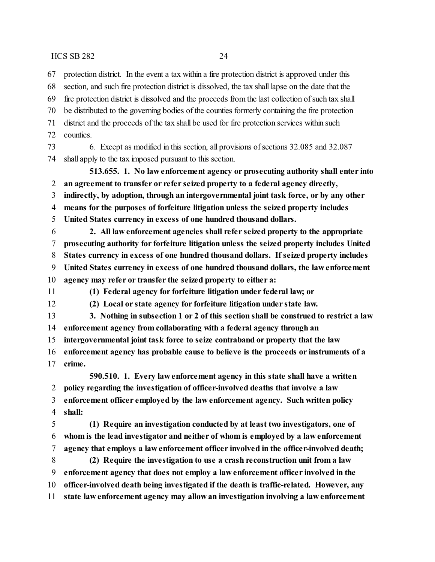protection district. In the event a tax within a fire protection district is approved under this

section, and such fire protection district is dissolved, the tax shall lapse on the date that the

fire protection district is dissolved and the proceeds from the last collection of such tax shall

be distributed to the governing bodies of the counties formerly containing the fire protection

district and the proceeds of the tax shall be used for fire protection services within such

counties.

 6. Except as modified in this section, all provisions of sections 32.085 and 32.087 shall apply to the tax imposed pursuant to this section.

**513.655. 1. No law enforcement agency or prosecuting authority shall enter into an agreement to transfer or refer seized property to a federal agency directly,**

**indirectly, by adoption, through an intergovernmental joint task force, or by any other**

**means for the purposes of forfeiture litigation unless the seized property includes**

**United States currency in excess of one hundred thousand dollars.**

 **2. All law enforcement agencies shall refer seized property to the appropriate prosecuting authority for forfeiture litigation unless the seized property includes United**

**States currency in excess of one hundred thousand dollars. If seized property includes**

 **United States currency in excess of one hundred thousand dollars, the law enforcement agency may refer or transfer the seized property to either a:**

**(1) Federal agency for forfeiture litigation under federal law; or**

**(2) Local or state agency for forfeiture litigation under state law.**

 **3. Nothing in subsection 1 or 2 of this section shall be construed to restrict a law enforcement agency from collaborating with a federal agency through an**

**intergovernmental joint task force to seize contraband or property that the law**

 **enforcement agency has probable cause to believe is the proceeds or instruments of a crime.**

**590.510. 1. Every law enforcement agency in this state shall have a written policy regarding the investigation of officer-involved deaths that involve a law enforcement officer employed by the law enforcement agency. Such written policy shall:**

 **(1) Require an investigation conducted by at least two investigators, one of whom is the lead investigator and neither of whom is employed by a law enforcement agency that employs a law enforcement officer involved in the officer-involved death; (2) Require the investigation to use a crash reconstruction unit from a law enforcement agency that does not employ a law enforcement officer involved in the officer-involved death being investigated if the death is traffic-related. However, any**

**state law enforcement agency may allow an investigation involving a law enforcement**